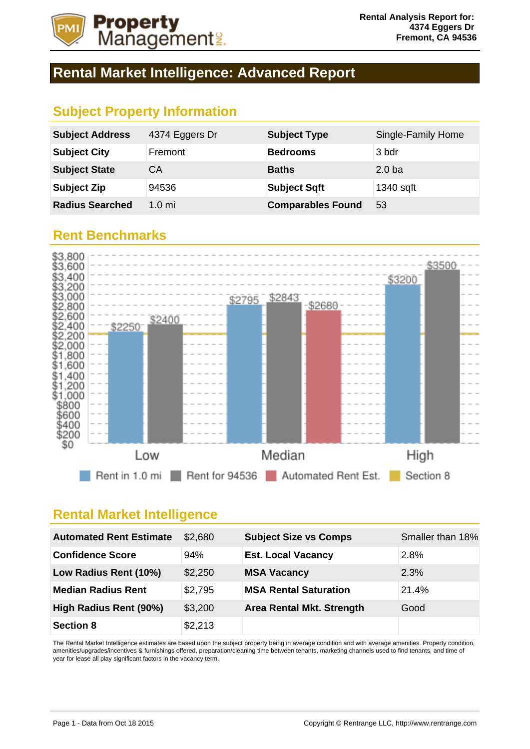

## **Rental Market Intelligence: Advanced Report**

## **Subject Property Information**

| <b>Subject Address</b> | 4374 Eggers Dr   | <b>Subject Type</b>      | Single-Family Home |
|------------------------|------------------|--------------------------|--------------------|
| <b>Subject City</b>    | Fremont          | <b>Bedrooms</b>          | 3 bdr              |
| <b>Subject State</b>   | CА               | <b>Baths</b>             | 2.0 <sub>b</sub>   |
| <b>Subject Zip</b>     | 94536            | <b>Subject Sqft</b>      | 1340 sqft          |
| <b>Radius Searched</b> | 1.0 <sub>m</sub> | <b>Comparables Found</b> | 53                 |

#### **Rent Benchmarks**



#### **Rental Market Intelligence**

| <b>Automated Rent Estimate</b> | \$2,680 | <b>Subject Size vs Comps</b>     | Smaller than 18% |
|--------------------------------|---------|----------------------------------|------------------|
| <b>Confidence Score</b>        | 94%     | <b>Est. Local Vacancy</b>        | 2.8%             |
| Low Radius Rent (10%)          | \$2,250 | <b>MSA Vacancy</b>               | 2.3%             |
| <b>Median Radius Rent</b>      | \$2,795 | <b>MSA Rental Saturation</b>     | 21.4%            |
| High Radius Rent (90%)         | \$3,200 | <b>Area Rental Mkt. Strength</b> | Good             |
| <b>Section 8</b>               | \$2,213 |                                  |                  |

The Rental Market Intelligence estimates are based upon the subject property being in average condition and with average amenities. Property condition, amenities/upgrades/incentives & furnishings offered, preparation/cleaning time between tenants, marketing channels used to find tenants, and time of year for lease all play significant factors in the vacancy term.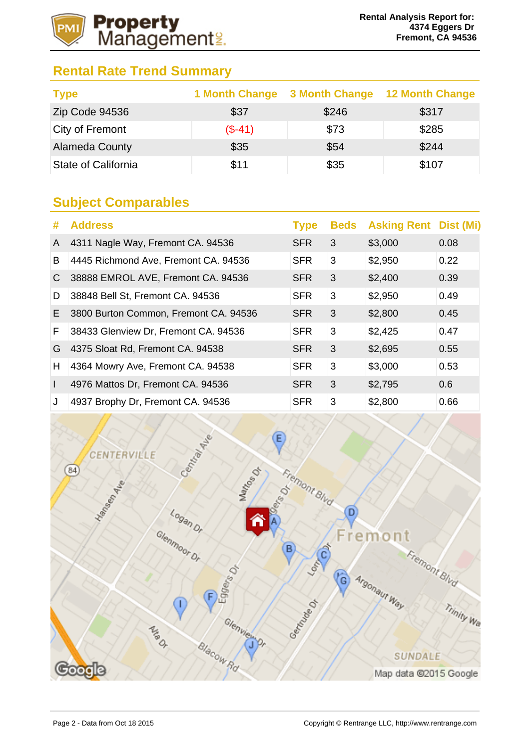

## **Rental Rate Trend Summary**

| <b>Type</b>                |          | 1 Month Change 3 Month Change 12 Month Change |       |
|----------------------------|----------|-----------------------------------------------|-------|
| Zip Code 94536             | \$37     | \$246                                         | \$317 |
| City of Fremont            | $(S-41)$ | \$73                                          | \$285 |
| <b>Alameda County</b>      | \$35     | \$54                                          | \$244 |
| <b>State of California</b> | \$11     | \$35                                          | \$107 |

## **Subject Comparables**

| #  | <b>Address</b>                        | <b>Type</b> | <b>Beds</b> | <b>Asking Rent Dist (Mi)</b> |      |
|----|---------------------------------------|-------------|-------------|------------------------------|------|
| A  | 4311 Nagle Way, Fremont CA. 94536     | <b>SFR</b>  | 3           | \$3,000                      | 0.08 |
| B  | 4445 Richmond Ave, Fremont CA. 94536  | <b>SFR</b>  | 3           | \$2,950                      | 0.22 |
| C  | 38888 EMROL AVE, Fremont CA. 94536    | <b>SFR</b>  | 3           | \$2,400                      | 0.39 |
| D  | 38848 Bell St, Fremont CA. 94536      | <b>SFR</b>  | 3           | \$2,950                      | 0.49 |
| Е. | 3800 Burton Common, Fremont CA. 94536 | <b>SFR</b>  | 3           | \$2,800                      | 0.45 |
| F. | 38433 Glenview Dr, Fremont CA. 94536  | <b>SFR</b>  | 3           | \$2,425                      | 0.47 |
| G  | 4375 Sloat Rd, Fremont CA. 94538      | <b>SFR</b>  | 3           | \$2,695                      | 0.55 |
| H  | 4364 Mowry Ave, Fremont CA. 94538     | <b>SFR</b>  | 3           | \$3,000                      | 0.53 |
|    | 4976 Mattos Dr, Fremont CA. 94536     | <b>SFR</b>  | 3           | \$2,795                      | 0.6  |
| J  | 4937 Brophy Dr, Fremont CA. 94536     | <b>SFR</b>  | 3           | \$2,800                      | 0.66 |